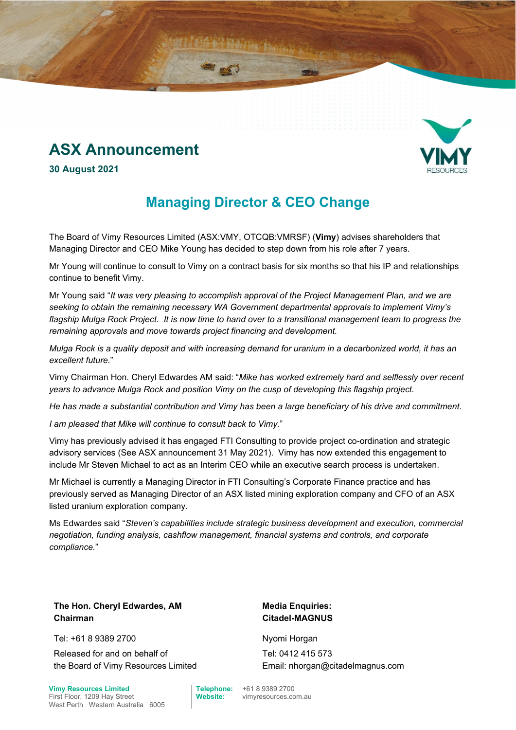# **ASX Announcement**



**30 August 2021** 

## **Managing Director & CEO Change**

The Board of Vimy Resources Limited (ASX:VMY, OTCQB:VMRSF) (**Vimy**) advises shareholders that Managing Director and CEO Mike Young has decided to step down from his role after 7 years.

Mr Young will continue to consult to Vimy on a contract basis for six months so that his IP and relationships continue to benefit Vimy.

Mr Young said "*It was very pleasing to accomplish approval of the Project Management Plan, and we are seeking to obtain the remaining necessary WA Government departmental approvals to implement Vimy's flagship Mulga Rock Project. It is now time to hand over to a transitional management team to progress the remaining approvals and move towards project financing and development.* 

*Mulga Rock is a quality deposit and with increasing demand for uranium in a decarbonized world, it has an excellent future.*"

Vimy Chairman Hon. Cheryl Edwardes AM said: "*Mike has worked extremely hard and selflessly over recent years to advance Mulga Rock and position Vimy on the cusp of developing this flagship project.* 

*He has made a substantial contribution and Vimy has been a large beneficiary of his drive and commitment.* 

*I am pleased that Mike will continue to consult back to Vimy.*"

Vimy has previously advised it has engaged FTI Consulting to provide project co-ordination and strategic advisory services (See ASX announcement 31 May 2021). Vimy has now extended this engagement to include Mr Steven Michael to act as an Interim CEO while an executive search process is undertaken.

Mr Michael is currently a Managing Director in FTI Consulting's Corporate Finance practice and has previously served as Managing Director of an ASX listed mining exploration company and CFO of an ASX listed uranium exploration company.

Ms Edwardes said "*Steven's capabilities include strategic business development and execution, commercial negotiation, funding analysis, cashflow management, financial systems and controls, and corporate compliance.*"

**The Hon. Cheryl Edwardes, AM Media Enquiries: Chairman Citadel-MAGNUS**

Tel: +61 8 9389 2700 Nyomi Horgan

Released for and on behalf of the Board of Vimy Resources Limited

First Floor, 1209 Hay Street **Website:** vimyresources.com.au West Perth Western Australia 6005

Tel: 0412 415 573 Email: nhorgan@citadelmagnus.com

**Vimy Resources Limited Telephone:** +61 8 9389 2700<br>First Floor 1209 Hay Street Website: vimyresources co